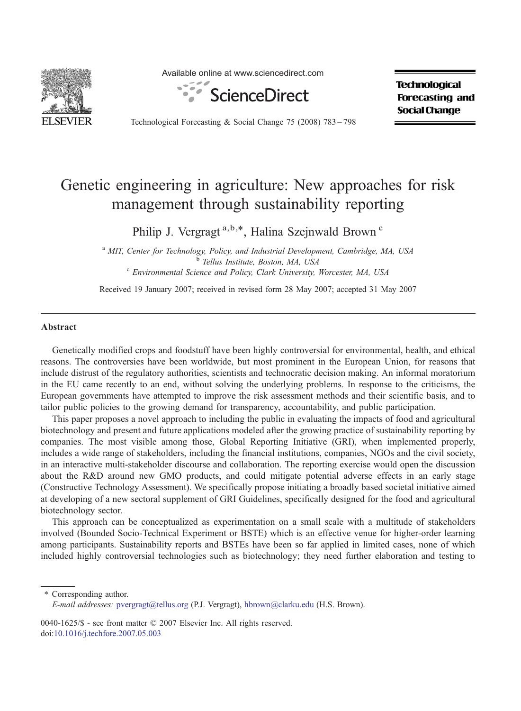

Available online at www.sciencedirect.com



**Technological Forecasting and Social Change** 

Technological Forecasting & Social Change 75 (2008) 783–798

## Genetic engineering in agriculture: New approaches for risk management through sustainability reporting

Philip J. Vergragt<sup>a,b,\*</sup>, Halina Szejnwald Brown<sup>c</sup>

<sup>a</sup> MIT, Center for Technology, Policy, and Industrial Development, Cambridge, MA, USA<br><sup>b</sup> Tellus Institute, Boston, MA, USA<br><sup>c</sup> Environmental Science and Policy, Clark University, Worcester, MA, USA

Received 19 January 2007; received in revised form 28 May 2007; accepted 31 May 2007

#### Abstract

Genetically modified crops and foodstuff have been highly controversial for environmental, health, and ethical reasons. The controversies have been worldwide, but most prominent in the European Union, for reasons that include distrust of the regulatory authorities, scientists and technocratic decision making. An informal moratorium in the EU came recently to an end, without solving the underlying problems. In response to the criticisms, the European governments have attempted to improve the risk assessment methods and their scientific basis, and to tailor public policies to the growing demand for transparency, accountability, and public participation.

This paper proposes a novel approach to including the public in evaluating the impacts of food and agricultural biotechnology and present and future applications modeled after the growing practice of sustainability reporting by companies. The most visible among those, Global Reporting Initiative (GRI), when implemented properly, includes a wide range of stakeholders, including the financial institutions, companies, NGOs and the civil society, in an interactive multi-stakeholder discourse and collaboration. The reporting exercise would open the discussion about the R&D around new GMO products, and could mitigate potential adverse effects in an early stage (Constructive Technology Assessment). We specifically propose initiating a broadly based societal initiative aimed at developing of a new sectoral supplement of GRI Guidelines, specifically designed for the food and agricultural biotechnology sector.

This approach can be conceptualized as experimentation on a small scale with a multitude of stakeholders involved (Bounded Socio-Technical Experiment or BSTE) which is an effective venue for higher-order learning among participants. Sustainability reports and BSTEs have been so far applied in limited cases, none of which included highly controversial technologies such as biotechnology; they need further elaboration and testing to

⁎ Corresponding author. E-mail addresses: [pvergragt@tellus.org](mailto:pvergragt@tellus.org) (P.J. Vergragt), [hbrown@clarku.edu](mailto:hbrown@clarku.edu) (H.S. Brown).

0040-1625/\$ - see front matter © 2007 Elsevier Inc. All rights reserved. doi[:10.1016/j.techfore.2007.05.003](http://dx.doi.org/10.1016/j.techfore.2007.05.003)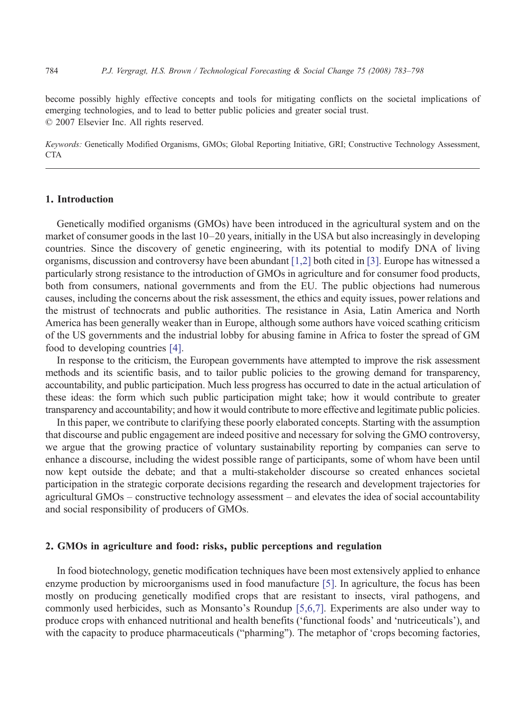become possibly highly effective concepts and tools for mitigating conflicts on the societal implications of emerging technologies, and to lead to better public policies and greater social trust. © 2007 Elsevier Inc. All rights reserved.

Keywords: Genetically Modified Organisms, GMOs; Global Reporting Initiative, GRI; Constructive Technology Assessment, CTA

## 1. Introduction

Genetically modified organisms (GMOs) have been introduced in the agricultural system and on the market of consumer goods in the last 10–20 years, initially in the USA but also increasingly in developing countries. Since the discovery of genetic engineering, with its potential to modify DNA of living organisms, discussion and controversy have been abundant [\[1,2\]](#page--1-0) both cited in [\[3\]](#page--1-0). Europe has witnessed a particularly strong resistance to the introduction of GMOs in agriculture and for consumer food products, both from consumers, national governments and from the EU. The public objections had numerous causes, including the concerns about the risk assessment, the ethics and equity issues, power relations and the mistrust of technocrats and public authorities. The resistance in Asia, Latin America and North America has been generally weaker than in Europe, although some authors have voiced scathing criticism of the US governments and the industrial lobby for abusing famine in Africa to foster the spread of GM food to developing countries [\[4\].](#page--1-0)

In response to the criticism, the European governments have attempted to improve the risk assessment methods and its scientific basis, and to tailor public policies to the growing demand for transparency, accountability, and public participation. Much less progress has occurred to date in the actual articulation of these ideas: the form which such public participation might take; how it would contribute to greater transparency and accountability; and how it would contribute to more effective and legitimate public policies.

In this paper, we contribute to clarifying these poorly elaborated concepts. Starting with the assumption that discourse and public engagement are indeed positive and necessary for solving the GMO controversy, we argue that the growing practice of voluntary sustainability reporting by companies can serve to enhance a discourse, including the widest possible range of participants, some of whom have been until now kept outside the debate; and that a multi-stakeholder discourse so created enhances societal participation in the strategic corporate decisions regarding the research and development trajectories for agricultural GMOs – constructive technology assessment – and elevates the idea of social accountability and social responsibility of producers of GMOs.

### 2. GMOs in agriculture and food: risks, public perceptions and regulation

In food biotechnology, genetic modification techniques have been most extensively applied to enhance enzyme production by microorganisms used in food manufacture [\[5\].](#page--1-0) In agriculture, the focus has been mostly on producing genetically modified crops that are resistant to insects, viral pathogens, and commonly used herbicides, such as Monsanto's Roundup [\[5,6,7\]](#page--1-0). Experiments are also under way to produce crops with enhanced nutritional and health benefits ('functional foods' and 'nutriceuticals'), and with the capacity to produce pharmaceuticals ("pharming"). The metaphor of 'crops becoming factories,